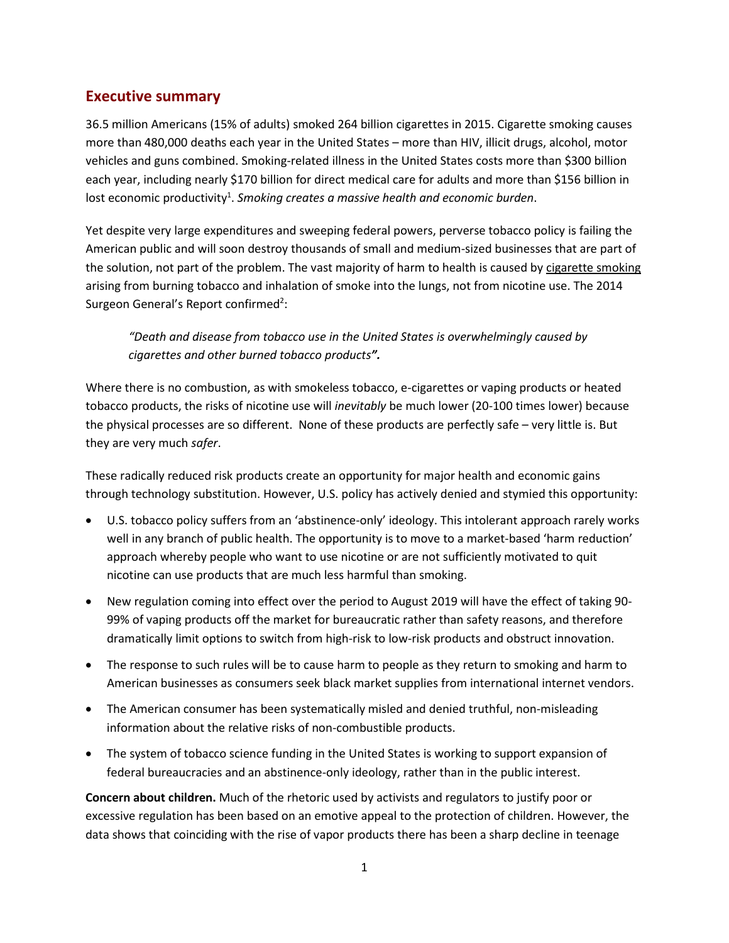## **Executive summary**

36.5 million Americans (15% of adults) smoked 264 billion cigarettes in 2015. Cigarette smoking causes more than 480,000 deaths each year in the United States – more than HIV, illicit drugs, alcohol, motor vehicles and guns combined. Smoking-related illness in the United States costs more than \$300 billion each year, including nearly \$170 billion for direct medical care for adults and more than \$156 billion in lost economic productivity<sup>1</sup>. Smoking creates a massive health and economic burden.

Yet despite very large expenditures and sweeping federal powers, perverse tobacco policy is failing the American public and will soon destroy thousands of small and medium-sized businesses that are part of the solution, not part of the problem. The vast majority of harm to health is caused by cigarette smoking arising from burning tobacco and inhalation of smoke into the lungs, not from nicotine use. The 2014 Surgeon General's Report confirmed<sup>2</sup>:

*"Death and disease from tobacco use in the United States is overwhelmingly caused by cigarettes and other burned tobacco products".*

Where there is no combustion, as with smokeless tobacco, e-cigarettes or vaping products or heated tobacco products, the risks of nicotine use will *inevitably* be much lower (20-100 times lower) because the physical processes are so different. None of these products are perfectly safe – very little is. But they are very much *safer*.

These radically reduced risk products create an opportunity for major health and economic gains through technology substitution. However, U.S. policy has actively denied and stymied this opportunity:

- U.S. tobacco policy suffers from an 'abstinence-only' ideology. This intolerant approach rarely works well in any branch of public health. The opportunity is to move to a market-based 'harm reduction' approach whereby people who want to use nicotine or are not sufficiently motivated to quit nicotine can use products that are much less harmful than smoking.
- New regulation coming into effect over the period to August 2019 will have the effect of taking 90- 99% of vaping products off the market for bureaucratic rather than safety reasons, and therefore dramatically limit options to switch from high-risk to low-risk products and obstruct innovation.
- The response to such rules will be to cause harm to people as they return to smoking and harm to American businesses as consumers seek black market supplies from international internet vendors.
- The American consumer has been systematically misled and denied truthful, non-misleading information about the relative risks of non-combustible products.
- The system of tobacco science funding in the United States is working to support expansion of federal bureaucracies and an abstinence-only ideology, rather than in the public interest.

**Concern about children.** Much of the rhetoric used by activists and regulators to justify poor or excessive regulation has been based on an emotive appeal to the protection of children. However, the data shows that coinciding with the rise of vapor products there has been a sharp decline in teenage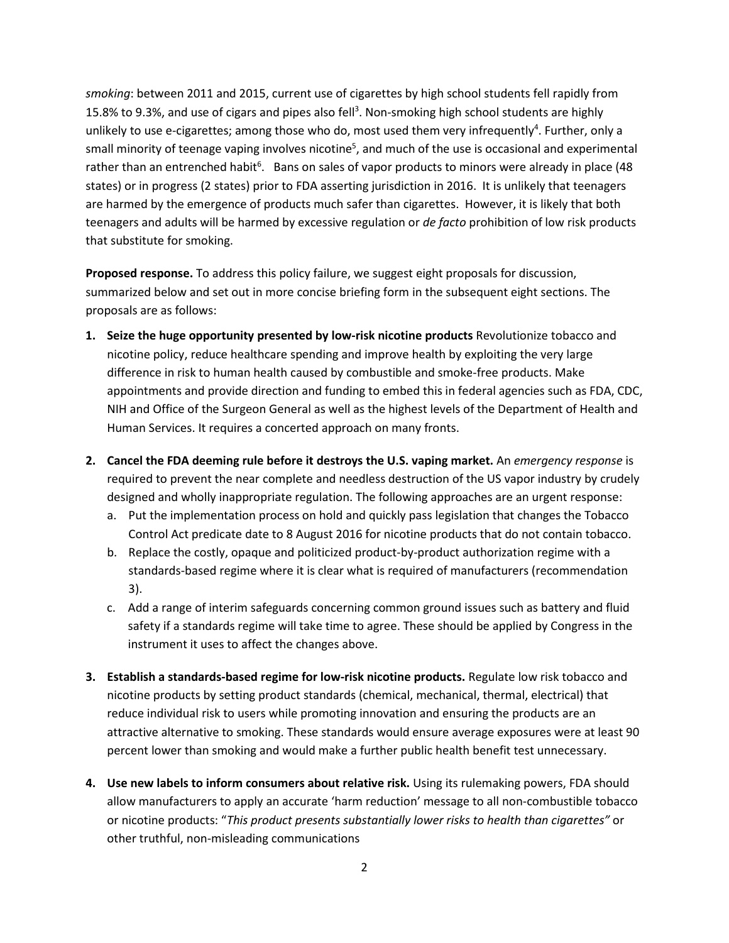*smoking*: between 2011 and 2015, current use of cigarettes by high school students fell rapidly from 15.8% to 9.3%, and use of cigars and pipes also fell<sup>3</sup>. Non-smoking high school students are highly unlikely to use e-cigarettes; among those who do, most used them very infrequently<sup>4</sup>. Further, only a small minority of teenage vaping involves nicotine<sup>5</sup>, and much of the use is occasional and experimental rather than an entrenched habit<sup>6</sup>. Bans on sales of vapor products to minors were already in place (48 states) or in progress (2 states) prior to FDA asserting jurisdiction in 2016. It is unlikely that teenagers are harmed by the emergence of products much safer than cigarettes. However, it is likely that both teenagers and adults will be harmed by excessive regulation or *de facto* prohibition of low risk products that substitute for smoking.

**Proposed response.** To address this policy failure, we suggest eight proposals for discussion, summarized below and set out in more concise briefing form in the subsequent eight sections. The proposals are as follows:

- **1. Seize the huge opportunity presented by low-risk nicotine products** Revolutionize tobacco and nicotine policy, reduce healthcare spending and improve health by exploiting the very large difference in risk to human health caused by combustible and smoke-free products. Make appointments and provide direction and funding to embed this in federal agencies such as FDA, CDC, NIH and Office of the Surgeon General as well as the highest levels of the Department of Health and Human Services. It requires a concerted approach on many fronts.
- **2. Cancel the FDA deeming rule before it destroys the U.S. vaping market.** An *emergency response* is required to prevent the near complete and needless destruction of the US vapor industry by crudely designed and wholly inappropriate regulation. The following approaches are an urgent response:
	- a. Put the implementation process on hold and quickly pass legislation that changes the Tobacco Control Act predicate date to 8 August 2016 for nicotine products that do not contain tobacco.
	- b. Replace the costly, opaque and politicized product-by-product authorization regime with a standards-based regime where it is clear what is required of manufacturers (recommendation 3).
	- c. Add a range of interim safeguards concerning common ground issues such as battery and fluid safety if a standards regime will take time to agree. These should be applied by Congress in the instrument it uses to affect the changes above.
- **3. Establish a standards-based regime for low-risk nicotine products.** Regulate low risk tobacco and nicotine products by setting product standards (chemical, mechanical, thermal, electrical) that reduce individual risk to users while promoting innovation and ensuring the products are an attractive alternative to smoking. These standards would ensure average exposures were at least 90 percent lower than smoking and would make a further public health benefit test unnecessary.
- **4. Use new labels to inform consumers about relative risk.** Using its rulemaking powers, FDA should allow manufacturers to apply an accurate 'harm reduction' message to all non-combustible tobacco or nicotine products: "*This product presents substantially lower risks to health than cigarettes"* or other truthful, non-misleading communications